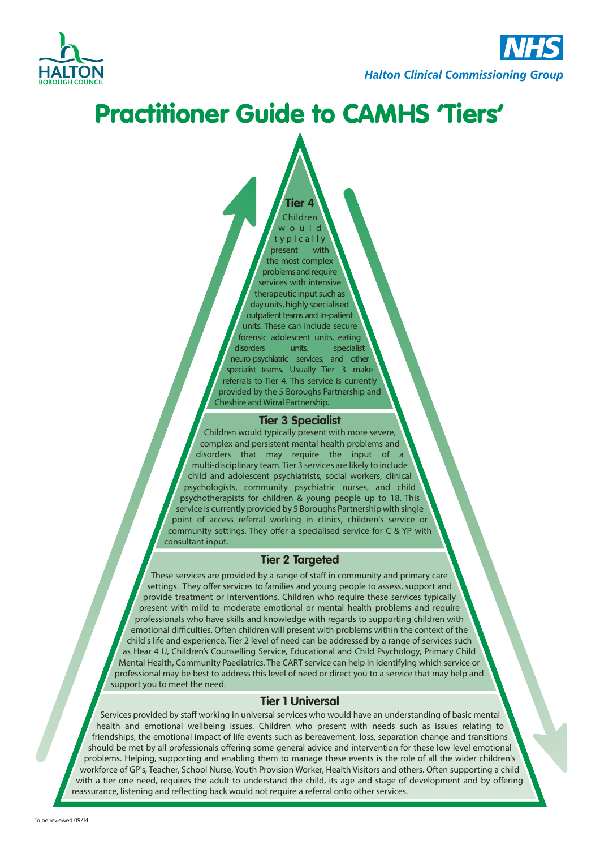

# Practitioner Guide to CAMHS 'Tiers'

Children w o u l d

**Tier 4**

t y p i c a l l y present with the most complex problems and require services with intensive therapeutic input such as day units, highly specialised outpatient teams and in-patient units. These can include secure forensic adolescent units, eating disorders units, specialist neuro-psychiatric services, and other specialist teams. Usually Tier 3 make referrals to Tier 4. This service is currently provided by the 5 Boroughs Partnership and Cheshire and Wirral Partnership.

#### **Tier 3 Specialist**

Children would typically present with more severe, complex and persistent mental health problems and disorders that may require the input of a multi-disciplinary team. Tier 3 services are likely to include child and adolescent psychiatrists, social workers, clinical psychologists, community psychiatric nurses, and child psychotherapists for children & young people up to 18. This service is currently provided by 5 Boroughs Partnership with single point of access referral working in clinics, children's service or community settings. They offer a specialised service for C & YP with consultant input.

#### **Tier 2 Targeted**

These services are provided by a range of staff in community and primary care settings. They offer services to families and young people to assess, support and provide treatment or interventions. Children who require these services typically present with mild to moderate emotional or mental health problems and require professionals who have skills and knowledge with regards to supporting children with emotional difficulties. Often children will present with problems within the context of the child's life and experience. Tier 2 level of need can be addressed by a range of services such as Hear 4 U, Children's Counselling Service, Educational and Child Psychology, Primary Child Mental Health, Community Paediatrics. The CART service can help in identifying which service or professional may be best to address this level of need or direct you to a service that may help and support you to meet the need.

#### **Tier 1 Universal**

Services provided by staff working in universal services who would have an understanding of basic mental health and emotional wellbeing issues. Children who present with needs such as issues relating to friendships, the emotional impact of life events such as bereavement, loss, separation change and transitions should be met by all professionals offering some general advice and intervention for these low level emotional problems. Helping, supporting and enabling them to manage these events is the role of all the wider children's workforce of GP's, Teacher, School Nurse, Youth Provision Worker, Health Visitors and others. Often supporting a child with a tier one need, requires the adult to understand the child, its age and stage of development and by offering reassurance, listening and reflecting back would not require a referral onto other services.